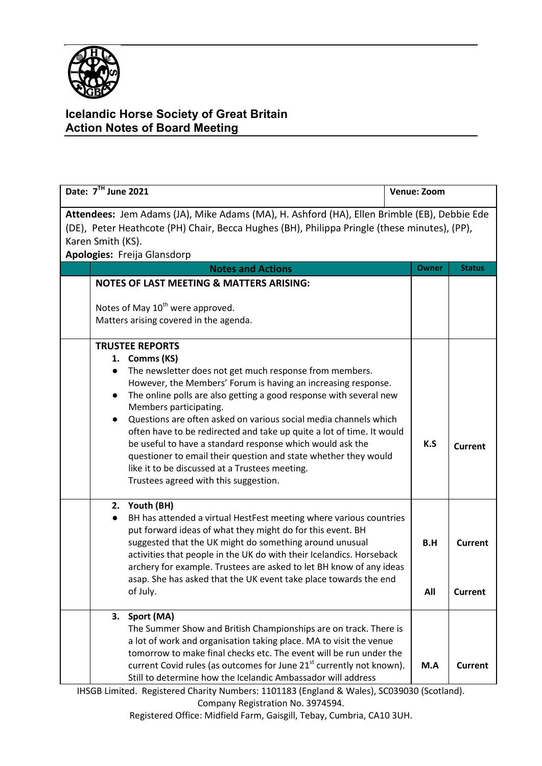

## **Icelandic Horse Society of Great Britain Action Notes of Board Meeting**

| Date: 7TH June 2021                                                                                                                                                                                                                             |                                                                                                                                                                                                                                                                                                                                                                                                                                                                                                                                                                                                  | Venue: Zoom |                           |  |  |
|-------------------------------------------------------------------------------------------------------------------------------------------------------------------------------------------------------------------------------------------------|--------------------------------------------------------------------------------------------------------------------------------------------------------------------------------------------------------------------------------------------------------------------------------------------------------------------------------------------------------------------------------------------------------------------------------------------------------------------------------------------------------------------------------------------------------------------------------------------------|-------------|---------------------------|--|--|
| Attendees: Jem Adams (JA), Mike Adams (MA), H. Ashford (HA), Ellen Brimble (EB), Debbie Ede<br>(DE), Peter Heathcote (PH) Chair, Becca Hughes (BH), Philippa Pringle (these minutes), (PP),<br>Karen Smith (KS).<br>Apologies: Freija Glansdorp |                                                                                                                                                                                                                                                                                                                                                                                                                                                                                                                                                                                                  |             |                           |  |  |
|                                                                                                                                                                                                                                                 | <b>Notes and Actions</b>                                                                                                                                                                                                                                                                                                                                                                                                                                                                                                                                                                         | Owner       | <b>Status</b>             |  |  |
|                                                                                                                                                                                                                                                 | <b>NOTES OF LAST MEETING &amp; MATTERS ARISING:</b>                                                                                                                                                                                                                                                                                                                                                                                                                                                                                                                                              |             |                           |  |  |
| Notes of May 10 <sup>th</sup> were approved.<br>Matters arising covered in the agenda.                                                                                                                                                          |                                                                                                                                                                                                                                                                                                                                                                                                                                                                                                                                                                                                  |             |                           |  |  |
| <b>TRUSTEE REPORTS</b>                                                                                                                                                                                                                          |                                                                                                                                                                                                                                                                                                                                                                                                                                                                                                                                                                                                  |             |                           |  |  |
| 1. Comms (KS)<br>$\bullet$                                                                                                                                                                                                                      | The newsletter does not get much response from members.<br>However, the Members' Forum is having an increasing response.<br>The online polls are also getting a good response with several new<br>Members participating.<br>Questions are often asked on various social media channels which<br>often have to be redirected and take up quite a lot of time. It would<br>be useful to have a standard response which would ask the<br>questioner to email their question and state whether they would<br>like it to be discussed at a Trustees meeting.<br>Trustees agreed with this suggestion. | K.S         | <b>Current</b>            |  |  |
| 2. Youth (BH)<br>of July.                                                                                                                                                                                                                       | BH has attended a virtual HestFest meeting where various countries<br>put forward ideas of what they might do for this event. BH<br>suggested that the UK might do something around unusual<br>activities that people in the UK do with their Icelandics. Horseback<br>archery for example. Trustees are asked to let BH know of any ideas<br>asap. She has asked that the UK event take place towards the end                                                                                                                                                                                   | B.H<br>All  | <b>Current</b><br>Current |  |  |
| 3. Sport (MA)                                                                                                                                                                                                                                   | The Summer Show and British Championships are on track. There is<br>a lot of work and organisation taking place. MA to visit the venue<br>tomorrow to make final checks etc. The event will be run under the<br>current Covid rules (as outcomes for June 21 <sup>st</sup> currently not known).<br>Still to determine how the Icelandic Ambassador will address                                                                                                                                                                                                                                 | M.A         | <b>Current</b>            |  |  |

IHSGB Limited. Registered Charity Numbers: 1101183 (England & Wales), SC039030 (Scotland). Company Registration No. 3974594.

Registered Office: Midfield Farm, Gaisgill, Tebay, Cumbria, CA10 3UH.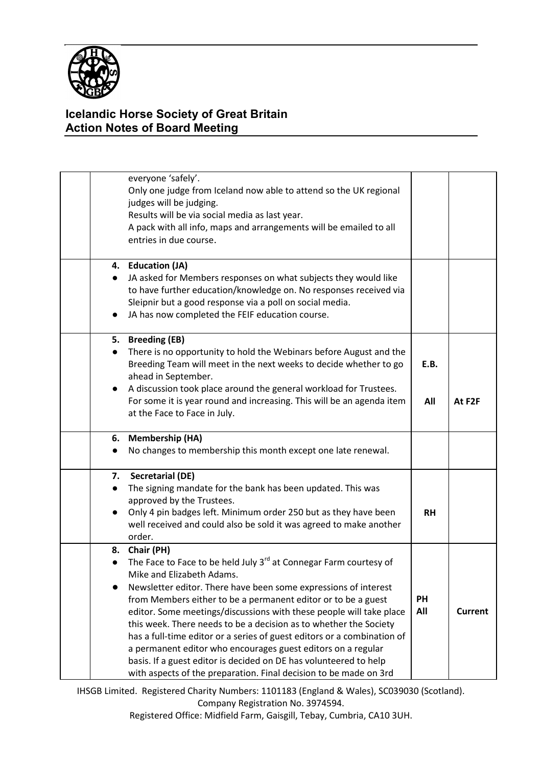

## **Icelandic Horse Society of Great Britain Action Notes of Board Meeting**

|                        | everyone 'safely'.<br>Only one judge from Iceland now able to attend so the UK regional<br>judges will be judging.<br>Results will be via social media as last year.<br>A pack with all info, maps and arrangements will be emailed to all<br>entries in due course.                                                                                                                                                                                                                                                                                                                                                                                                                             |                  |                |
|------------------------|--------------------------------------------------------------------------------------------------------------------------------------------------------------------------------------------------------------------------------------------------------------------------------------------------------------------------------------------------------------------------------------------------------------------------------------------------------------------------------------------------------------------------------------------------------------------------------------------------------------------------------------------------------------------------------------------------|------------------|----------------|
| $\bullet$<br>$\bullet$ | 4. Education (JA)<br>JA asked for Members responses on what subjects they would like<br>to have further education/knowledge on. No responses received via<br>Sleipnir but a good response via a poll on social media.<br>JA has now completed the FEIF education course.                                                                                                                                                                                                                                                                                                                                                                                                                         |                  |                |
| $\bullet$              | 5. Breeding (EB)<br>There is no opportunity to hold the Webinars before August and the<br>Breeding Team will meet in the next weeks to decide whether to go<br>ahead in September.<br>A discussion took place around the general workload for Trustees.<br>For some it is year round and increasing. This will be an agenda item<br>at the Face to Face in July.                                                                                                                                                                                                                                                                                                                                 | E.B.<br>All      | At F2F         |
| $\bullet$              | 6. Membership (HA)<br>No changes to membership this month except one late renewal.                                                                                                                                                                                                                                                                                                                                                                                                                                                                                                                                                                                                               |                  |                |
| 7.<br>$\bullet$        | <b>Secretarial (DE)</b><br>The signing mandate for the bank has been updated. This was<br>approved by the Trustees.<br>Only 4 pin badges left. Minimum order 250 but as they have been<br>well received and could also be sold it was agreed to make another<br>order.                                                                                                                                                                                                                                                                                                                                                                                                                           | <b>RH</b>        |                |
| $\bullet$              | 8. Chair (PH)<br>The Face to Face to be held July 3 <sup>rd</sup> at Connegar Farm courtesy of<br>Mike and Elizabeth Adams.<br>Newsletter editor. There have been some expressions of interest<br>from Members either to be a permanent editor or to be a guest<br>editor. Some meetings/discussions with these people will take place<br>this week. There needs to be a decision as to whether the Society<br>has a full-time editor or a series of guest editors or a combination of<br>a permanent editor who encourages guest editors on a regular<br>basis. If a guest editor is decided on DE has volunteered to help<br>with aspects of the preparation. Final decision to be made on 3rd | <b>PH</b><br>All | <b>Current</b> |

IHSGB Limited. Registered Charity Numbers: 1101183 (England & Wales), SC039030 (Scotland). Company Registration No. 3974594.

Registered Office: Midfield Farm, Gaisgill, Tebay, Cumbria, CA10 3UH.